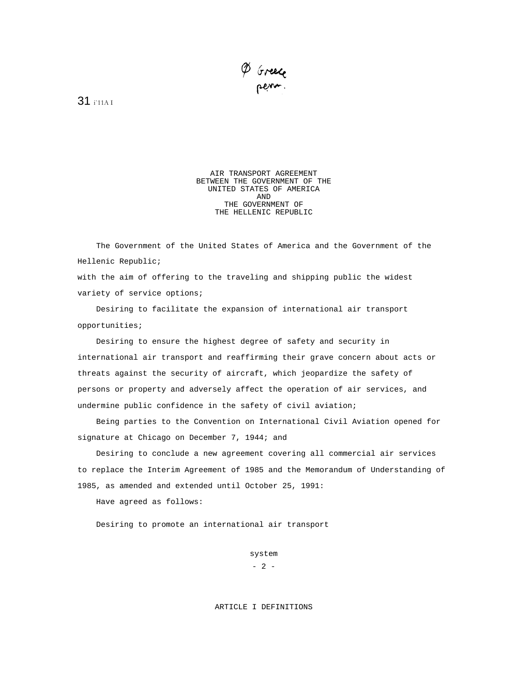P Greece

31 i'11A I

AIR TRANSPORT AGREEMENT BETWEEN THE GOVERNMENT OF THE UNITED STATES OF AMERICA AND THE GOVERNMENT OF THE HELLENIC REPUBLIC

The Government of the United States of America and the Government of the Hellenic Republic; with the aim of offering to the traveling and shipping public the widest

variety of service options;

Desiring to facilitate the expansion of international air transport opportunities;

Desiring to ensure the highest degree of safety and security in international air transport and reaffirming their grave concern about acts or threats against the security of aircraft, which jeopardize the safety of persons or property and adversely affect the operation of air services, and undermine public confidence in the safety of civil aviation;

Being parties to the Convention on International Civil Aviation opened for signature at Chicago on December 7, 1944; and

Desiring to conclude a new agreement covering all commercial air services to replace the Interim Agreement of 1985 and the Memorandum of Understanding of 1985, as amended and extended until October 25, 1991:

Have agreed as follows:

Desiring to promote an international air transport

system  $- 2 -$ 

# ARTICLE I DEFINITIONS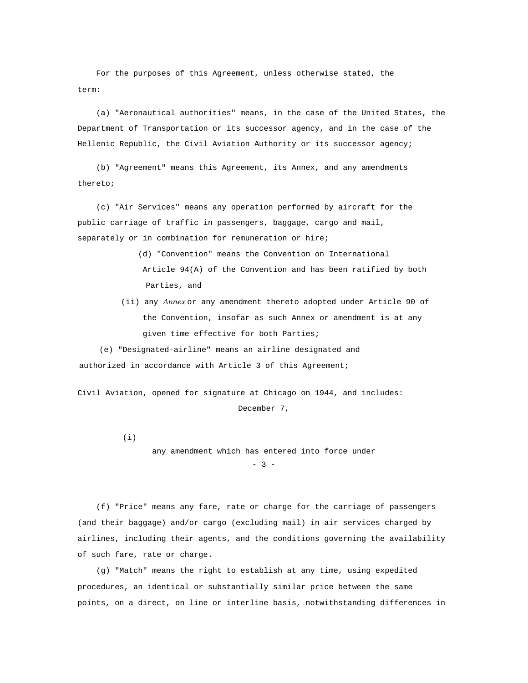For the purposes of this Agreement, unless otherwise stated, the term:

(a) "Aeronautical authorities" means, in the case of the United States, the Department of Transportation or its successor agency, and in the case of the Hellenic Republic, the Civil Aviation Authority or its successor agency;

(b) "Agreement" means this Agreement, its Annex, and any amendments thereto;

(c) "Air Services" means any operation performed by aircraft for the public carriage of traffic in passengers, baggage, cargo and mail, separately or in combination for remuneration or hire;

- (d) "Convention" means the Convention on International Article 94(A) of the Convention and has been ratified by both Parties, and
- (ii) any *Annex* or any amendment thereto adopted under Article 90 of the Convention, insofar as such Annex or amendment is at any given time effective for both Parties;

(e) "Designated-airline" means an airline designated and authorized in accordance with Article 3 of this Agreement;

Civil Aviation, opened for signature at Chicago on 1944, and includes: December 7,

(i)

any amendment which has entered into force under  $- 3 -$ 

(f) "Price" means any fare, rate or charge for the carriage of passengers (and their baggage) and/or cargo (excluding mail) in air services charged by airlines, including their agents, and the conditions governing the availability of such fare, rate or charge.

(g) "Match" means the right to establish at any time, using expedited procedures, an identical or substantially similar price between the same points, on a direct, on line or interline basis, notwithstanding differences in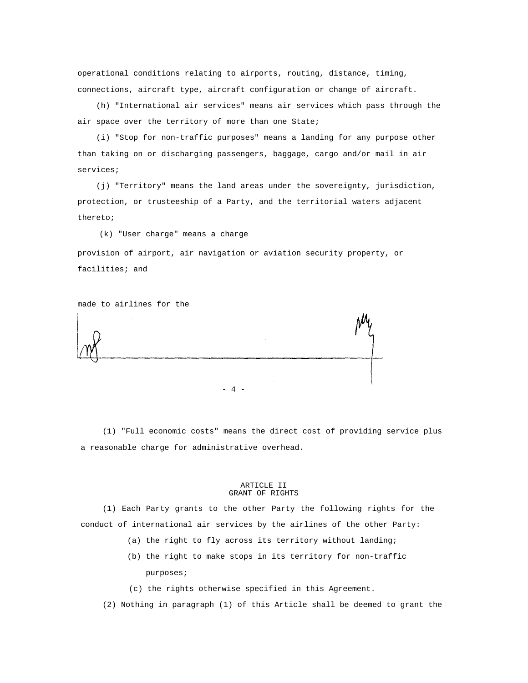operational conditions relating to airports, routing, distance, timing, connections, aircraft type, aircraft configuration or change of aircraft.

(h) "International air services" means air services which pass through the air space over the territory of more than one State;

(i) "Stop for non-traffic purposes" means a landing for any purpose other than taking on or discharging passengers, baggage, cargo and/or mail in air services;

(j) "Territory" means the land areas under the sovereignty, jurisdiction, protection, or trusteeship of a Party, and the territorial waters adjacent thereto;

(k) "User charge" means a charge

provision of airport, air navigation or aviation security property, or facilities; and

made to airlines for the

- 4 -

(1) "Full economic costs" means the direct cost of providing service plus a reasonable charge for administrative overhead.

#### ARTICLE II GRANT OF RIGHTS

(1) Each Party grants to the other Party the following rights for the conduct of international air services by the airlines of the other Party:

- (a) the right to fly across its territory without landing;
- (b) the right to make stops in its territory for non-traffic purposes;
- (c) the rights otherwise specified in this Agreement.
- (2) Nothing in paragraph (1) of this Article shall be deemed to grant the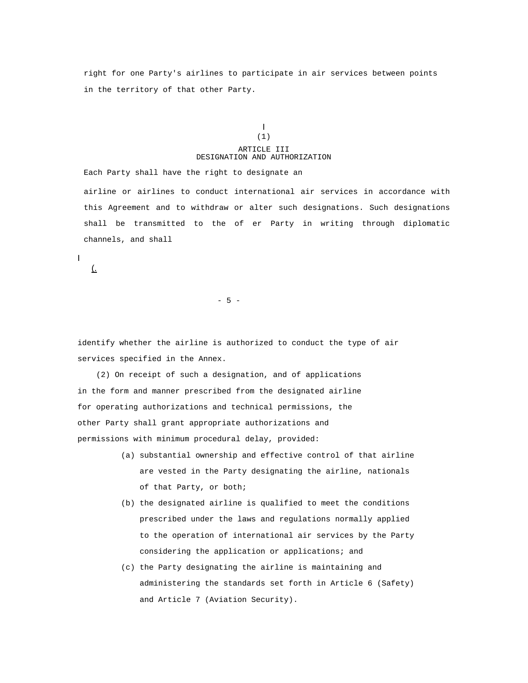right for one Party's airlines to participate in air services between points in the territory of that other Party.

# I (1)

# ARTICLE III DESIGNATION AND AUTHORIZATION

Each Party shall have the right to designate an airline or airlines to conduct international air services in accordance with this Agreement and to withdraw or alter such designations. Such designations shall be transmitted to the of er Party in writing through diplomatic channels, and shall

I

(.

 $- 5 -$ 

identify whether the airline is authorized to conduct the type of air services specified in the Annex.

(2) On receipt of such a designation, and of applications in the form and manner prescribed from the designated airline for operating authorizations and technical permissions, the other Party shall grant appropriate authorizations and permissions with minimum procedural delay, provided:

- (a) substantial ownership and effective control of that airline are vested in the Party designating the airline, nationals of that Party, or both;
- (b) the designated airline is qualified to meet the conditions prescribed under the laws and regulations normally applied to the operation of international air services by the Party considering the application or applications; and
- (c) the Party designating the airline is maintaining and administering the standards set forth in Article 6 (Safety) and Article 7 (Aviation Security).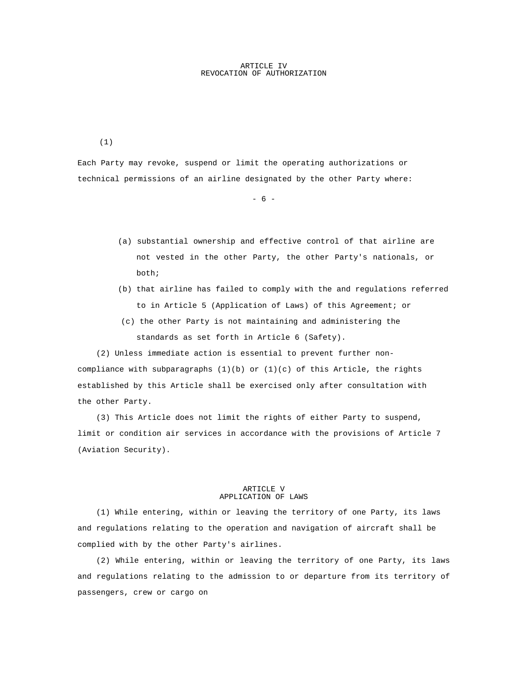# ARTICLE IV REVOCATION OF AUTHORIZATION

(1)

Each Party may revoke, suspend or limit the operating authorizations or technical permissions of an airline designated by the other Party where:

 $- 6 -$ 

- (a) substantial ownership and effective control of that airline are not vested in the other Party, the other Party's nationals, or both;
- (b) that airline has failed to comply with the and regulations referred to in Article 5 (Application of Laws) of this Agreement; or
- (c) the other Party is not maintaining and administering the standards as set forth in Article 6 (Safety).

(2) Unless immediate action is essential to prevent further noncompliance with subparagraphs  $(1)(b)$  or  $(1)(c)$  of this Article, the rights established by this Article shall be exercised only after consultation with the other Party.

(3) This Article does not limit the rights of either Party to suspend, limit or condition air services in accordance with the provisions of Article 7 (Aviation Security).

# ARTICLE V APPLICATION OF LAWS

(1) While entering, within or leaving the territory of one Party, its laws and regulations relating to the operation and navigation of aircraft shall be complied with by the other Party's airlines.

(2) While entering, within or leaving the territory of one Party, its laws and regulations relating to the admission to or departure from its territory of passengers, crew or cargo on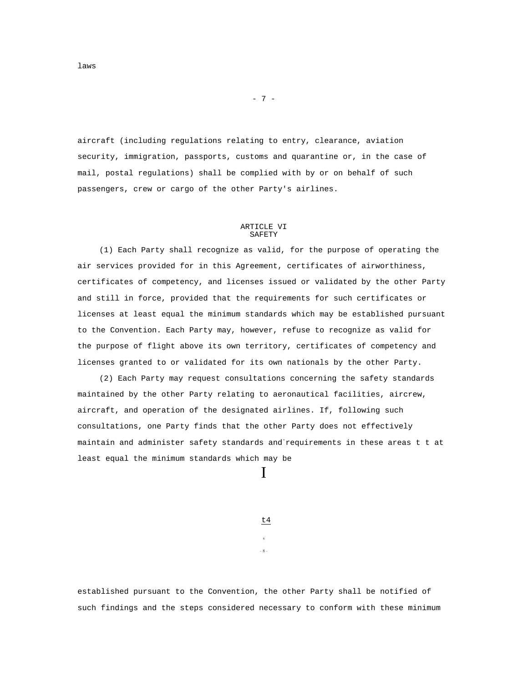aircraft (including regulations relating to entry, clearance, aviation security, immigration, passports, customs and quarantine or, in the case of mail, postal regulations) shall be complied with by or on behalf of such passengers, crew or cargo of the other Party's airlines.

 $- 7 -$ 

#### ARTICLE VI SAFETY

(1) Each Party shall recognize as valid, for the purpose of operating the air services provided for in this Agreement, certificates of airworthiness, certificates of competency, and licenses issued or validated by the other Party and still in force, provided that the requirements for such certificates or licenses at least equal the minimum standards which may be established pursuant to the Convention. Each Party may, however, refuse to recognize as valid for the purpose of flight above its own territory, certificates of competency and licenses granted to or validated for its own nationals by the other Party.

(2) Each Party may request consultations concerning the safety standards maintained by the other Party relating to aeronautical facilities, aircrew, aircraft, and operation of the designated airlines. If, following such consultations, one Party finds that the other Party does not effectively maintain and administer safety standards and-requirements in these areas t t at least equal the minimum standards which may be

I

t4 s

- 8 -

established pursuant to the Convention, the other Party shall be notified of such findings and the steps considered necessary to conform with these minimum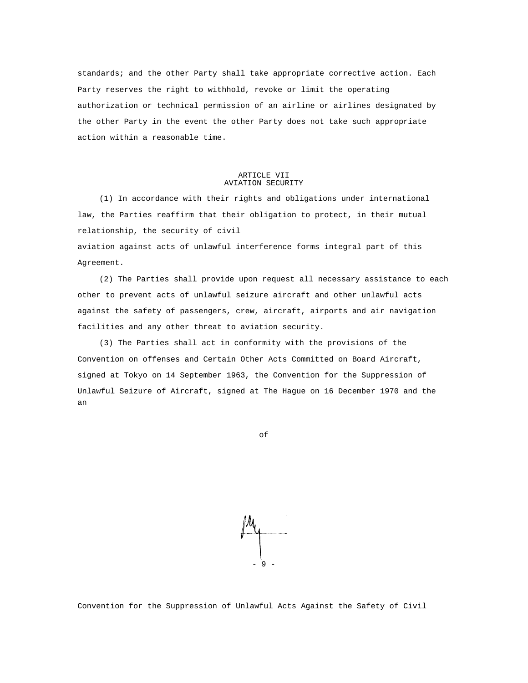standards; and the other Party shall take appropriate corrective action. Each Party reserves the right to withhold, revoke or limit the operating authorization or technical permission of an airline or airlines designated by the other Party in the event the other Party does not take such appropriate action within a reasonable time.

## ARTICLE VII AVIATION SECURITY

(1) In accordance with their rights and obligations under international law, the Parties reaffirm that their obligation to protect, in their mutual relationship, the security of civil

aviation against acts of unlawful interference forms integral part of this Agreement.

(2) The Parties shall provide upon request all necessary assistance to each other to prevent acts of unlawful seizure aircraft and other unlawful acts against the safety of passengers, crew, aircraft, airports and air navigation facilities and any other threat to aviation security.

(3) The Parties shall act in conformity with the provisions of the Convention on offenses and Certain Other Acts Committed on Board Aircraft, signed at Tokyo on 14 September 1963, the Convention for the Suppression of Unlawful Seizure of Aircraft, signed at The Hague on 16 December 1970 and the an

of



Convention for the Suppression of Unlawful Acts Against the Safety of Civil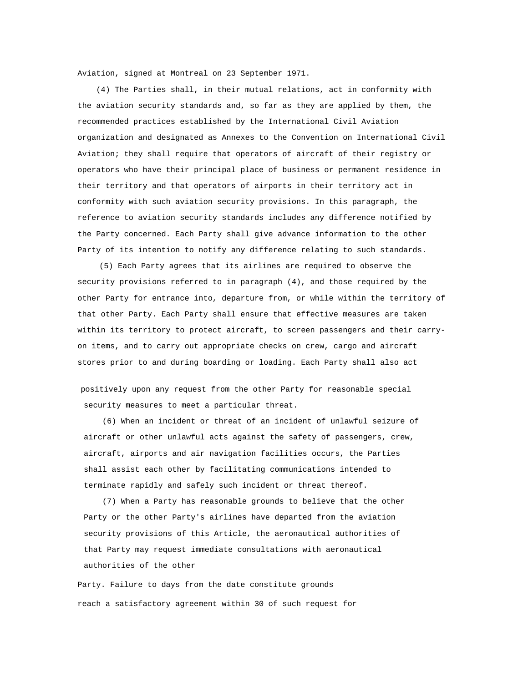Aviation, signed at Montreal on 23 September 1971.

(4) The Parties shall, in their mutual relations, act in conformity with the aviation security standards and, so far as they are applied by them, the recommended practices established by the International Civil Aviation organization and designated as Annexes to the Convention on International Civil Aviation; they shall require that operators of aircraft of their registry or operators who have their principal place of business or permanent residence in their territory and that operators of airports in their territory act in conformity with such aviation security provisions. In this paragraph, the reference to aviation security standards includes any difference notified by the Party concerned. Each Party shall give advance information to the other Party of its intention to notify any difference relating to such standards.

(5) Each Party agrees that its airlines are required to observe the security provisions referred to in paragraph (4), and those required by the other Party for entrance into, departure from, or while within the territory of that other Party. Each Party shall ensure that effective measures are taken within its territory to protect aircraft, to screen passengers and their carryon items, and to carry out appropriate checks on crew, cargo and aircraft stores prior to and during boarding or loading. Each Party shall also act

positively upon any request from the other Party for reasonable special security measures to meet a particular threat.

(6) When an incident or threat of an incident of unlawful seizure of aircraft or other unlawful acts against the safety of passengers, crew, aircraft, airports and air navigation facilities occurs, the Parties shall assist each other by facilitating communications intended to terminate rapidly and safely such incident or threat thereof.

(7) When a Party has reasonable grounds to believe that the other Party or the other Party's airlines have departed from the aviation security provisions of this Article, the aeronautical authorities of that Party may request immediate consultations with aeronautical authorities of the other

Party. Failure to days from the date constitute grounds reach a satisfactory agreement within 30 of such request for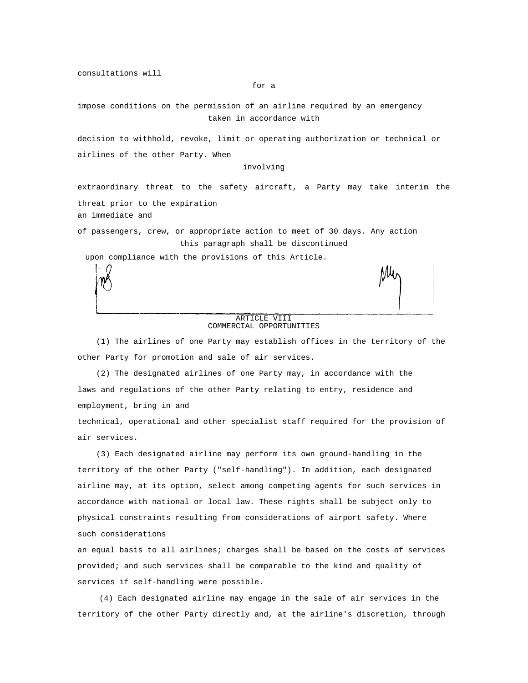consultations will

#### for a

impose conditions on the permission of an airline required by an emergency taken in accordance with

decision to withhold, revoke, limit or operating authorization or technical or airlines of the other Party. When

# involving

extraordinary threat to the safety aircraft, a Party may take interim the threat prior to the expiration an immediate and

of passengers, crew, or appropriate action to meet of 30 days. Any action this paragraph shall be discontinued

upon compliance with the provisions of this Article.

# ARTICLE VIII COMMERCIAL OPPORTUNITIES

(1) The airlines of one Party may establish offices in the territory of the other Party for promotion and sale of air services.

(2) The designated airlines of one Party may, in accordance with the laws and regulations of the other Party relating to entry, residence and employment, bring in and

technical, operational and other specialist staff required for the provision of air services.

(3) Each designated airline may perform its own ground-handling in the territory of the other Party ("self-handling"). In addition, each designated airline may, at its option, select among competing agents for such services in accordance with national or local law. These rights shall be subject only to physical constraints resulting from considerations of airport safety. Where such considerations

an equal basis to all airlines; charges shall be based on the costs of services provided; and such services shall be comparable to the kind and quality of services if self-handling were possible.

(4) Each designated airline may engage in the sale of air services in the territory of the other Party directly and, at the airline's discretion, through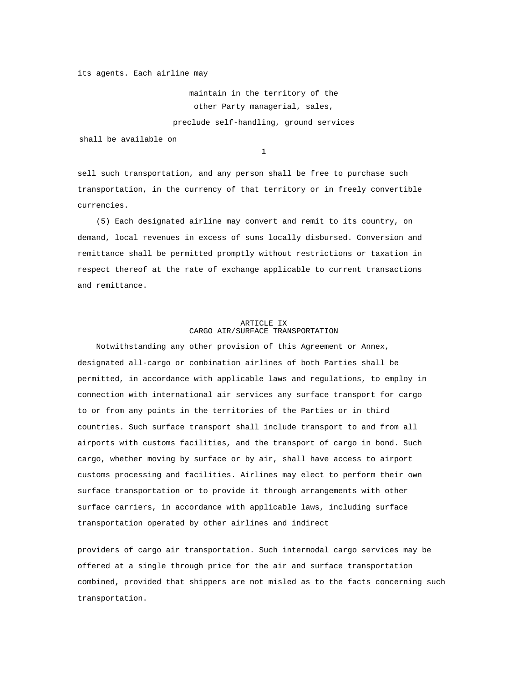its agents. Each airline may

maintain in the territory of the other Party managerial, sales, preclude self-handling, ground services

shall be available on

1

sell such transportation, and any person shall be free to purchase such transportation, in the currency of that territory or in freely convertible currencies.

(5) Each designated airline may convert and remit to its country, on demand, local revenues in excess of sums locally disbursed. Conversion and remittance shall be permitted promptly without restrictions or taxation in respect thereof at the rate of exchange applicable to current transactions and remittance.

# ARTICLE IX CARGO AIR/SURFACE TRANSPORTATION

Notwithstanding any other provision of this Agreement or Annex, designated all-cargo or combination airlines of both Parties shall be permitted, in accordance with applicable laws and regulations, to employ in connection with international air services any surface transport for cargo to or from any points in the territories of the Parties or in third countries. Such surface transport shall include transport to and from all airports with customs facilities, and the transport of cargo in bond. Such cargo, whether moving by surface or by air, shall have access to airport customs processing and facilities. Airlines may elect to perform their own surface transportation or to provide it through arrangements with other surface carriers, in accordance with applicable laws, including surface transportation operated by other airlines and indirect

providers of cargo air transportation. Such intermodal cargo services may be offered at a single through price for the air and surface transportation combined, provided that shippers are not misled as to the facts concerning such transportation.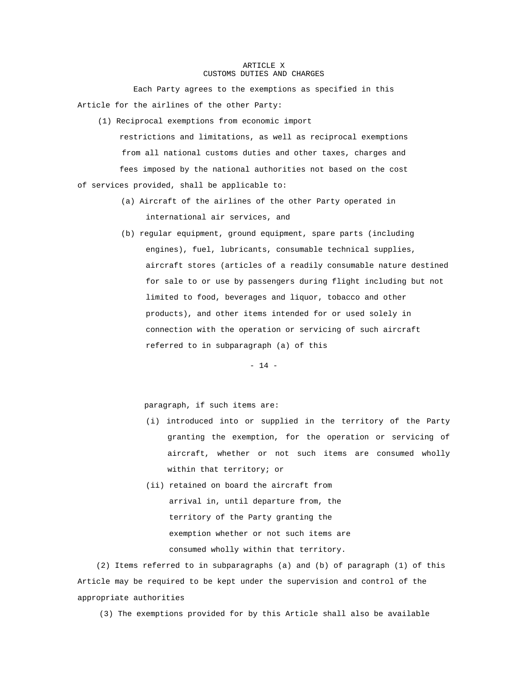#### ARTICLE X CUSTOMS DUTIES AND CHARGES

Each Party agrees to the exemptions as specified in this Article for the airlines of the other Party:

- (1) Reciprocal exemptions from economic import restrictions and limitations, as well as reciprocal exemptions from all national customs duties and other taxes, charges and fees imposed by the national authorities not based on the cost of services provided, shall be applicable to:
	- (a) Aircraft of the airlines of the other Party operated in international air services, and
	- (b) regular equipment, ground equipment, spare parts (including engines), fuel, lubricants, consumable technical supplies, aircraft stores (articles of a readily consumable nature destined for sale to or use by passengers during flight including but not limited to food, beverages and liquor, tobacco and other products), and other items intended for or used solely in connection with the operation or servicing of such aircraft referred to in subparagraph (a) of this

 $- 14 -$ 

paragraph, if such items are:

- (i) introduced into or supplied in the territory of the Party granting the exemption, for the operation or servicing of aircraft, whether or not such items are consumed wholly within that territory; or
- (ii) retained on board the aircraft from arrival in, until departure from, the territory of the Party granting the exemption whether or not such items are consumed wholly within that territory.

(2) Items referred to in subparagraphs (a) and (b) of paragraph (1) of this Article may be required to be kept under the supervision and control of the appropriate authorities

(3) The exemptions provided for by this Article shall also be available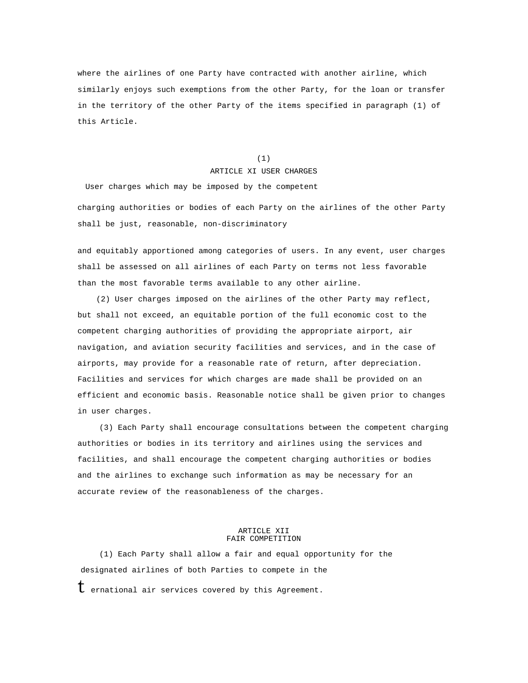where the airlines of one Party have contracted with another airline, which similarly enjoys such exemptions from the other Party, for the loan or transfer in the territory of the other Party of the items specified in paragraph (1) of this Article.

(1)

# ARTICLE XI USER CHARGES

User charges which may be imposed by the competent charging authorities or bodies of each Party on the airlines of the other Party shall be just, reasonable, non-discriminatory

and equitably apportioned among categories of users. In any event, user charges shall be assessed on all airlines of each Party on terms not less favorable than the most favorable terms available to any other airline.

(2) User charges imposed on the airlines of the other Party may reflect, but shall not exceed, an equitable portion of the full economic cost to the competent charging authorities of providing the appropriate airport, air navigation, and aviation security facilities and services, and in the case of airports, may provide for a reasonable rate of return, after depreciation. Facilities and services for which charges are made shall be provided on an efficient and economic basis. Reasonable notice shall be given prior to changes in user charges.

(3) Each Party shall encourage consultations between the competent charging authorities or bodies in its territory and airlines using the services and facilities, and shall encourage the competent charging authorities or bodies and the airlines to exchange such information as may be necessary for an accurate review of the reasonableness of the charges.

### ARTICLE XII FAIR COMPETITION

(1) Each Party shall allow a fair and equal opportunity for the designated airlines of both Parties to compete in the

 $t$  ernational air services covered by this Agreement.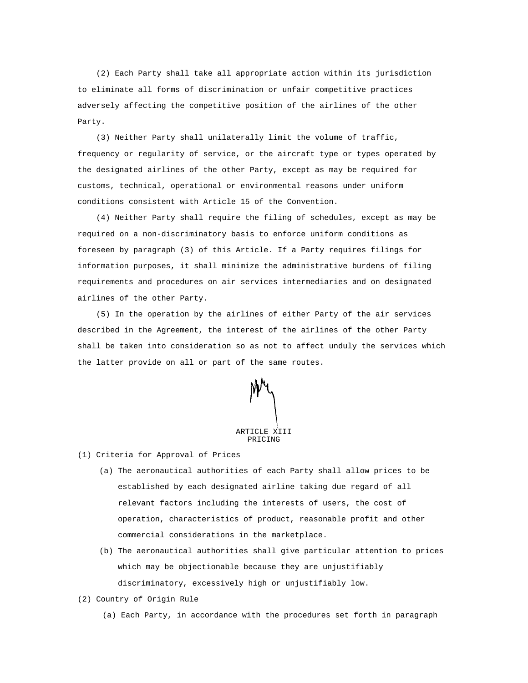(2) Each Party shall take all appropriate action within its jurisdiction to eliminate all forms of discrimination or unfair competitive practices adversely affecting the competitive position of the airlines of the other Party.

(3) Neither Party shall unilaterally limit the volume of traffic, frequency or regularity of service, or the aircraft type or types operated by the designated airlines of the other Party, except as may be required for customs, technical, operational or environmental reasons under uniform conditions consistent with Article 15 of the Convention.

(4) Neither Party shall require the filing of schedules, except as may be required on a non-discriminatory basis to enforce uniform conditions as foreseen by paragraph (3) of this Article. If a Party requires filings for information purposes, it shall minimize the administrative burdens of filing requirements and procedures on air services intermediaries and on designated airlines of the other Party.

(5) In the operation by the airlines of either Party of the air services described in the Agreement, the interest of the airlines of the other Party shall be taken into consideration so as not to affect unduly the services which the latter provide on all or part of the same routes.



(1) Criteria for Approval of Prices

- (a) The aeronautical authorities of each Party shall allow prices to be established by each designated airline taking due regard of all relevant factors including the interests of users, the cost of operation, characteristics of product, reasonable profit and other commercial considerations in the marketplace.
- (b) The aeronautical authorities shall give particular attention to prices which may be objectionable because they are unjustifiably discriminatory, excessively high or unjustifiably low.
- (2) Country of Origin Rule
	- (a) Each Party, in accordance with the procedures set forth in paragraph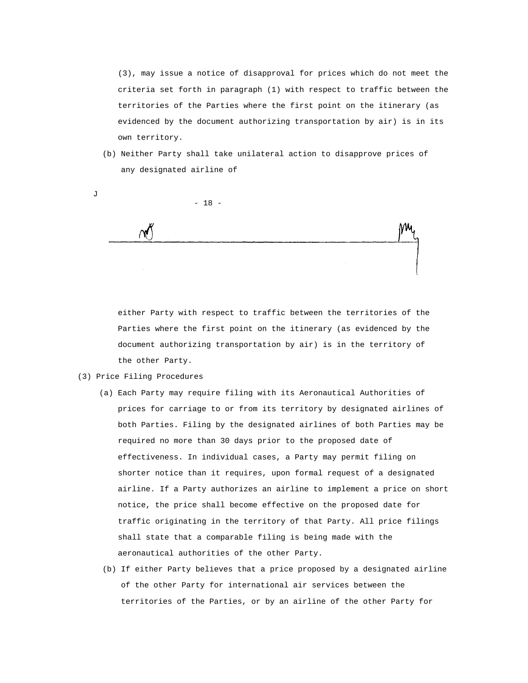(3), may issue a notice of disapproval for prices which do not meet the criteria set forth in paragraph (1) with respect to traffic between the territories of the Parties where the first point on the itinerary (as evidenced by the document authorizing transportation by air) is in its own territory.

(b) Neither Party shall take unilateral action to disapprove prices of any designated airline of

- 18 -

either Party with respect to traffic between the territories of the Parties where the first point on the itinerary (as evidenced by the document authorizing transportation by air) is in the territory of the other Party.

(3) Price Filing Procedures

J

- (a) Each Party may require filing with its Aeronautical Authorities of prices for carriage to or from its territory by designated airlines of both Parties. Filing by the designated airlines of both Parties may be required no more than 30 days prior to the proposed date of effectiveness. In individual cases, a Party may permit filing on shorter notice than it requires, upon formal request of a designated airline. If a Party authorizes an airline to implement a price on short notice, the price shall become effective on the proposed date for traffic originating in the territory of that Party. All price filings shall state that a comparable filing is being made with the aeronautical authorities of the other Party.
	- (b) If either Party believes that a price proposed by a designated airline of the other Party for international air services between the territories of the Parties, or by an airline of the other Party for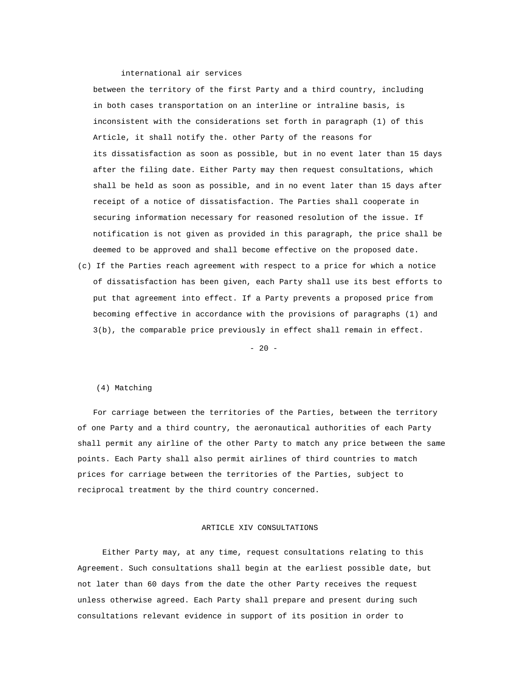# international air services

between the territory of the first Party and a third country, including in both cases transportation on an interline or intraline basis, is inconsistent with the considerations set forth in paragraph (1) of this Article, it shall notify the. other Party of the reasons for its dissatisfaction as soon as possible, but in no event later than 15 days after the filing date. Either Party may then request consultations, which shall be held as soon as possible, and in no event later than 15 days after receipt of a notice of dissatisfaction. The Parties shall cooperate in securing information necessary for reasoned resolution of the issue. If notification is not given as provided in this paragraph, the price shall be deemed to be approved and shall become effective on the proposed date.

(c) If the Parties reach agreement with respect to a price for which a notice of dissatisfaction has been given, each Party shall use its best efforts to put that agreement into effect. If a Party prevents a proposed price from becoming effective in accordance with the provisions of paragraphs (1) and 3(b), the comparable price previously in effect shall remain in effect.

 $- 20 -$ 

# (4) Matching

For carriage between the territories of the Parties, between the territory of one Party and a third country, the aeronautical authorities of each Party shall permit any airline of the other Party to match any price between the same points. Each Party shall also permit airlines of third countries to match prices for carriage between the territories of the Parties, subject to reciprocal treatment by the third country concerned.

# ARTICLE XIV CONSULTATIONS

Either Party may, at any time, request consultations relating to this Agreement. Such consultations shall begin at the earliest possible date, but not later than 60 days from the date the other Party receives the request unless otherwise agreed. Each Party shall prepare and present during such consultations relevant evidence in support of its position in order to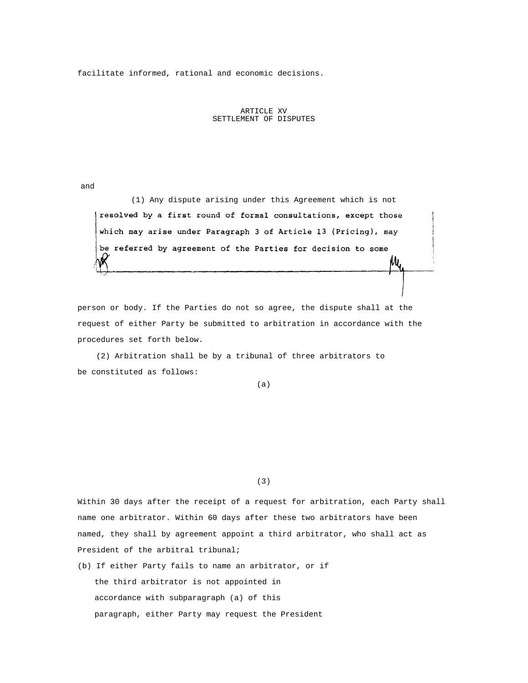facilitate informed, rational and economic decisions.

# ARTICLE XV SETTLEMENT OF DISPUTES

and

(1) Any dispute arising under this Agreement which is not resolved by a first round of formal consultations, except those which may arise under Paragraph 3 of Article 13 (Pricing), may be referred by agreement of the Parties for decision to some

person or body. If the Parties do not so agree, the dispute shall at the request of either Party be submitted to arbitration in accordance with the procedures set forth below.

(2) Arbitration shall be by a tribunal of three arbitrators to be constituted as follows:

(a)

(3)

Within 30 days after the receipt of a request for arbitration, each Party shall name one arbitrator. Within 60 days after these two arbitrators have been named, they shall by agreement appoint a third arbitrator, who shall act as President of the arbitral tribunal;

(b) If either Party fails to name an arbitrator, or if the third arbitrator is not appointed in accordance with subparagraph (a) of this paragraph, either Party may request the President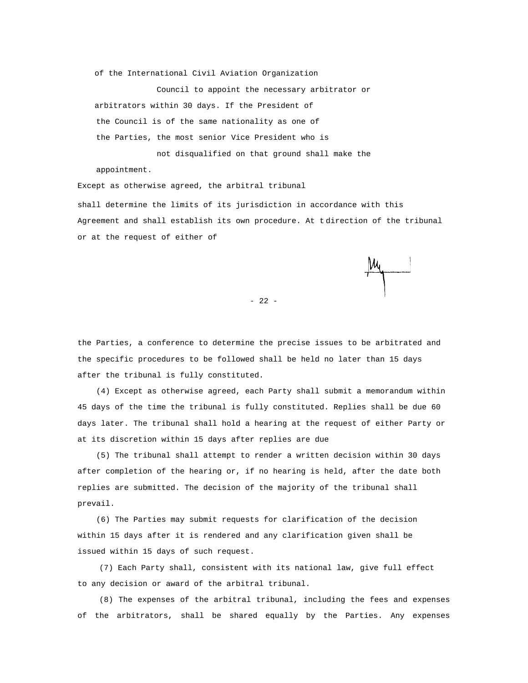of the International Civil Aviation Organization

Council to appoint the necessary arbitrator or arbitrators within 30 days. If the President of the Council is of the same nationality as one of the Parties, the most senior Vice President who is not disqualified on that ground shall make the appointment.

Except as otherwise agreed, the arbitral tribunal shall determine the limits of its jurisdiction in accordance with this Agreement and shall establish its own procedure. At t direction of the tribunal or at the request of either of

- 22 -

the Parties, a conference to determine the precise issues to be arbitrated and the specific procedures to be followed shall be held no later than 15 days after the tribunal is fully constituted.

(4) Except as otherwise agreed, each Party shall submit a memorandum within 45 days of the time the tribunal is fully constituted. Replies shall be due 60 days later. The tribunal shall hold a hearing at the request of either Party or at its discretion within 15 days after replies are due

(5) The tribunal shall attempt to render a written decision within 30 days after completion of the hearing or, if no hearing is held, after the date both replies are submitted. The decision of the majority of the tribunal shall prevail.

(6) The Parties may submit requests for clarification of the decision within 15 days after it is rendered and any clarification given shall be issued within 15 days of such request.

(7) Each Party shall, consistent with its national law, give full effect to any decision or award of the arbitral tribunal.

(8) The expenses of the arbitral tribunal, including the fees and expenses of the arbitrators, shall be shared equally by the Parties. Any expenses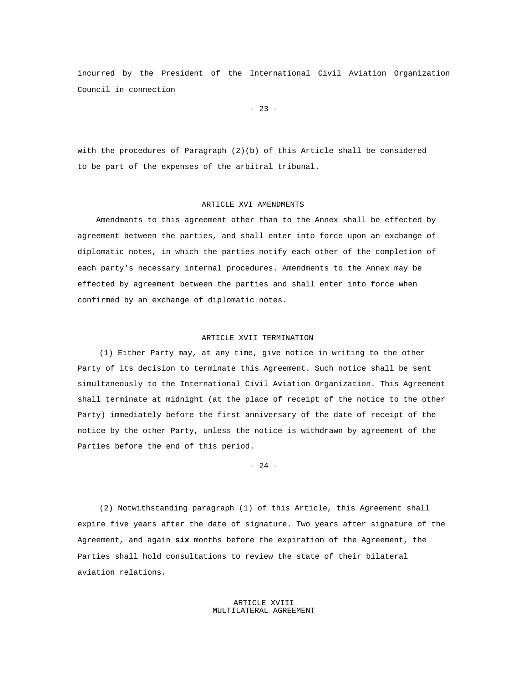incurred by the President of the International Civil Aviation Organization Council in connection

- 23 -

with the procedures of Paragraph (2)(b) of this Article shall be considered to be part of the expenses of the arbitral tribunal.

## ARTICLE XVI AMENDMENTS

Amendments to this agreement other than to the Annex shall be effected by agreement between the parties, and shall enter into force upon an exchange of diplomatic notes, in which the parties notify each other of the completion of each party's necessary internal procedures. Amendments to the Annex may be effected by agreement between the parties and shall enter into force when confirmed by an exchange of diplomatic notes.

# ARTICLE XVII TERMINATION

(1) Either Party may, at any time, give notice in writing to the other Party of its decision to terminate this Agreement. Such notice shall be sent simultaneously to the International Civil Aviation Organization. This Agreement shall terminate at midnight (at the place of receipt of the notice to the other Party) immediately before the first anniversary of the date of receipt of the notice by the other Party, unless the notice is withdrawn by agreement of the Parties before the end of this period.

- 24 -

(2) Notwithstanding paragraph (1) of this Article, this Agreement shall expire five years after the date of signature. Two years after signature of the Agreement, and again **six** months before the expiration of the Agreement, the Parties shall hold consultations to review the state of their bilateral aviation relations.

> ARTICLE XVIII MULTILATERAL AGREEMENT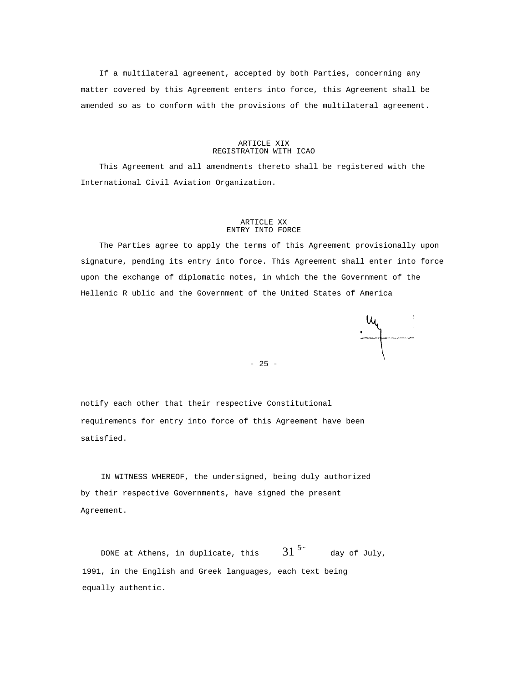If a multilateral agreement, accepted by both Parties, concerning any matter covered by this Agreement enters into force, this Agreement shall be amended so as to conform with the provisions of the multilateral agreement.

#### ARTICLE XIX REGISTRATION WITH ICAO

This Agreement and all amendments thereto shall be registered with the International Civil Aviation Organization.

#### ARTICLE XX ENTRY INTO FORCE

The Parties agree to apply the terms of this Agreement provisionally upon signature, pending its entry into force. This Agreement shall enter into force upon the exchange of diplomatic notes, in which the the Government of the Hellenic R ublic and the Government of the United States of America

- 25 -

notify each other that their respective Constitutional requirements for entry into force of this Agreement have been satisfied.

IN WITNESS WHEREOF, the undersigned, being duly authorized by their respective Governments, have signed the present Agreement.

DONE at Athens, in duplicate, this  $31^{54}$ day of July, 1991, in the English and Greek languages, each text being equally authentic.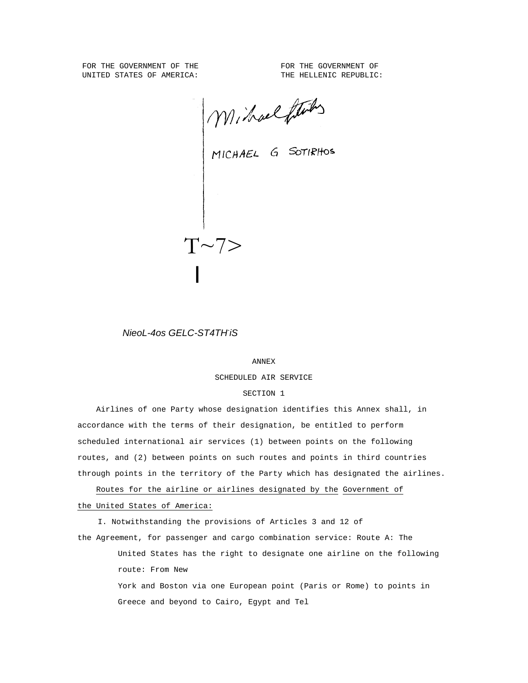FOR THE GOVERNMENT OF THE **FOR THE GOVERNMENT** OF UNITED STATES OF AMERICA: THE HELLENIC REPUBLIC:

Michael G SOTIRHOS

*NieoL-4os GELC-ST4TH-iS* 

 $T \sim 7$ 

I

#### ANNEX

SCHEDULED AIR SERVICE

#### SECTION 1

Airlines of one Party whose designation identifies this Annex shall, in accordance with the terms of their designation, be entitled to perform scheduled international air services (1) between points on the following routes, and (2) between points on such routes and points in third countries through points in the territory of the Party which has designated the airlines.

Routes for the airline or airlines designated by the Government of the United States of America:

I. Notwithstanding the provisions of Articles 3 and 12 of the Agreement, for passenger and cargo combination service: Route A: The United States has the right to designate one airline on the following route: From New

> York and Boston via one European point (Paris or Rome) to points in Greece and beyond to Cairo, Egypt and Tel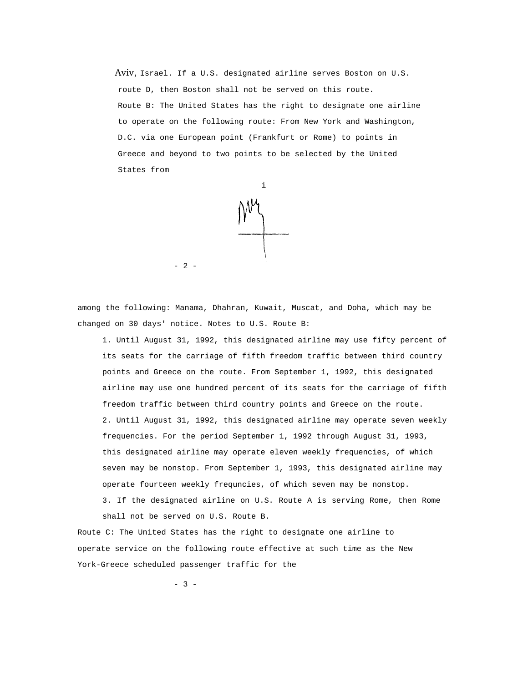Aviv, Israel. If a U.S. designated airline serves Boston on U.S. route D, then Boston shall not be served on this route. Route B: The United States has the right to designate one airline to operate on the following route: From New York and Washington, D.C. via one European point (Frankfurt or Rome) to points in Greece and beyond to two points to be selected by the United States from



among the following: Manama, Dhahran, Kuwait, Muscat, and Doha, which may be changed on 30 days' notice. Notes to U.S. Route B:

1. Until August 31, 1992, this designated airline may use fifty percent of its seats for the carriage of fifth freedom traffic between third country points and Greece on the route. From September 1, 1992, this designated airline may use one hundred percent of its seats for the carriage of fifth freedom traffic between third country points and Greece on the route. 2. Until August 31, 1992, this designated airline may operate seven weekly frequencies. For the period September 1, 1992 through August 31, 1993, this designated airline may operate eleven weekly frequencies, of which seven may be nonstop. From September 1, 1993, this designated airline may operate fourteen weekly frequncies, of which seven may be nonstop.

3. If the designated airline on U.S. Route A is serving Rome, then Rome shall not be served on U.S. Route B.

Route C: The United States has the right to designate one airline to operate service on the following route effective at such time as the New York-Greece scheduled passenger traffic for the

- 3 -

- 2 -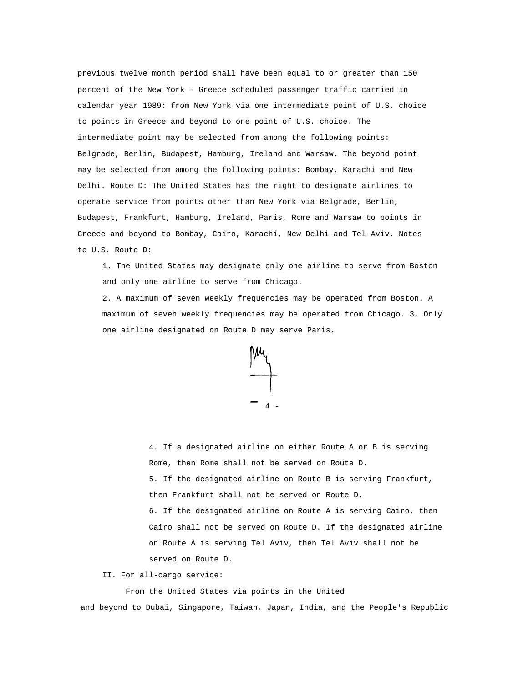previous twelve month period shall have been equal to or greater than 150 percent of the New York - Greece scheduled passenger traffic carried in calendar year 1989: from New York via one intermediate point of U.S. choice to points in Greece and beyond to one point of U.S. choice. The intermediate point may be selected from among the following points: Belgrade, Berlin, Budapest, Hamburg, Ireland and Warsaw. The beyond point may be selected from among the following points: Bombay, Karachi and New Delhi. Route D: The United States has the right to designate airlines to operate service from points other than New York via Belgrade, Berlin, Budapest, Frankfurt, Hamburg, Ireland, Paris, Rome and Warsaw to points in Greece and beyond to Bombay, Cairo, Karachi, New Delhi and Tel Aviv. Notes to U.S. Route D:

1. The United States may designate only one airline to serve from Boston and only one airline to serve from Chicago.

2. A maximum of seven weekly frequencies may be operated from Boston. A maximum of seven weekly frequencies may be operated from Chicago. 3. Only one airline designated on Route D may serve Paris.



4. If a designated airline on either Route A or B is serving Rome, then Rome shall not be served on Route D. 5. If the designated airline on Route B is serving Frankfurt, then Frankfurt shall not be served on Route D. 6. If the designated airline on Route A is serving Cairo, then Cairo shall not be served on Route D. If the designated airline on Route A is serving Tel Aviv, then Tel Aviv shall not be served on Route D.

II. For all-cargo service:

From the United States via points in the United and beyond to Dubai, Singapore, Taiwan, Japan, India, and the People's Republic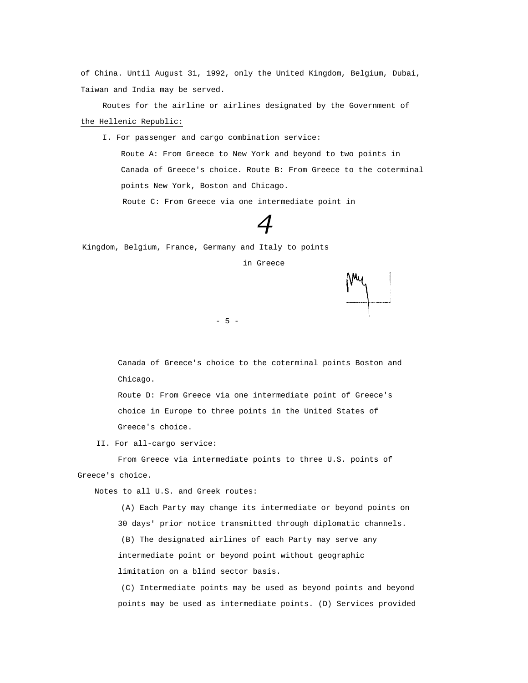of China. Until August 31, 1992, only the United Kingdom, Belgium, Dubai, Taiwan and India may be served.

Routes for the airline or airlines designated by the Government of the Hellenic Republic:

I. For passenger and cargo combination service:

Route A: From Greece to New York and beyond to two points in Canada of Greece's choice. Route B: From Greece to the coterminal points New York, Boston and Chicago.

Route C: From Greece via one intermediate point in

# *4*

Kingdom, Belgium, France, Germany and Italy to points

in Greece

- 5 -

Canada of Greece's choice to the coterminal points Boston and Chicago.

Route D: From Greece via one intermediate point of Greece's choice in Europe to three points in the United States of Greece's choice.

II. For all-cargo service:

From Greece via intermediate points to three U.S. points of Greece's choice.

Notes to all U.S. and Greek routes:

(A) Each Party may change its intermediate or beyond points on 30 days' prior notice transmitted through diplomatic channels. (B) The designated airlines of each Party may serve any intermediate point or beyond point without geographic limitation on a blind sector basis.

(C) Intermediate points may be used as beyond points and beyond points may be used as intermediate points. (D) Services provided